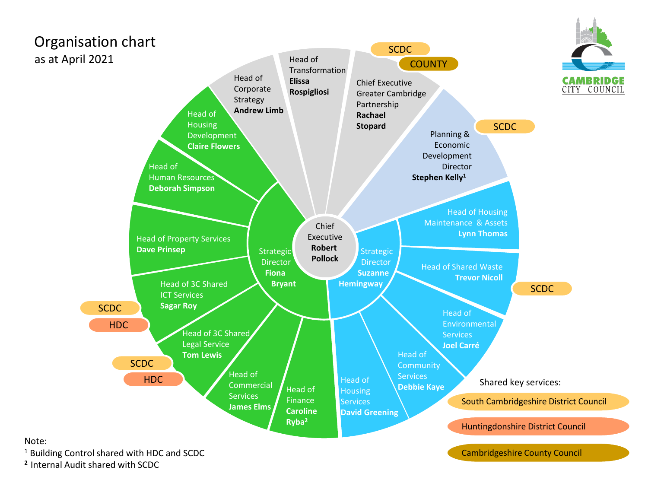